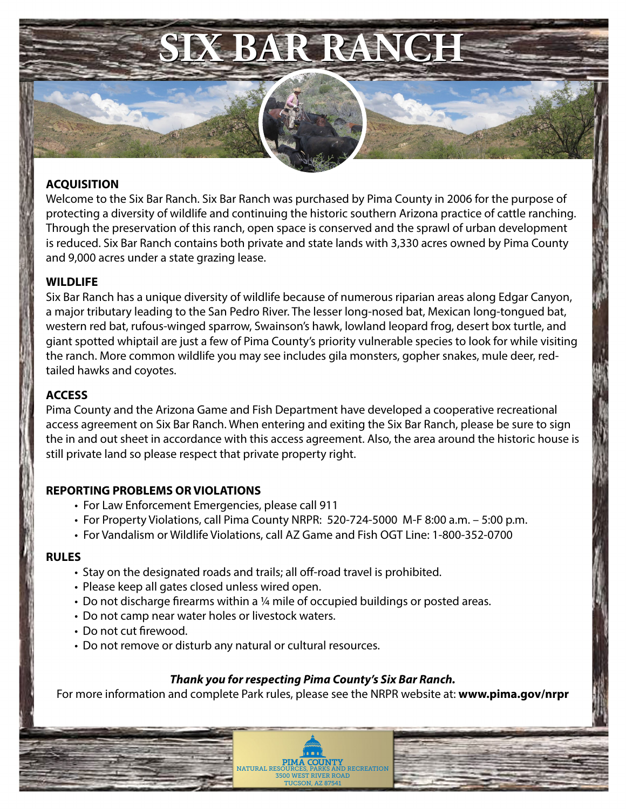

### **ACQUISITION**

Welcome to the Six Bar Ranch. Six Bar Ranch was purchased by Pima County in 2006 for the purpose of protecting a diversity of wildlife and continuing the historic southern Arizona practice of cattle ranching. Through the preservation of this ranch, open space is conserved and the sprawl of urban development is reduced. Six Bar Ranch contains both private and state lands with 3,330 acres owned by Pima County and 9,000 acres under a state grazing lease.

### **WILDLIFE**

Six Bar Ranch has a unique diversity of wildlife because of numerous riparian areas along Edgar Canyon, a major tributary leading to the San Pedro River. The lesser long-nosed bat, Mexican long-tongued bat, western red bat, rufous-winged sparrow, Swainson's hawk, lowland leopard frog, desert box turtle, and giant spotted whiptail are just a few of Pima County's priority vulnerable species to look for while visiting the ranch. More common wildlife you may see includes gila monsters, gopher snakes, mule deer, redtailed hawks and coyotes.

# **ACCESS**

Pima County and the Arizona Game and Fish Department have developed a cooperative recreational access agreement on Six Bar Ranch. When entering and exiting the Six Bar Ranch, please be sure to sign the in and out sheet in accordance with this access agreement. Also, the area around the historic house is still private land so please respect that private property right.

# **REPORTING PROBLEMS OR VIOLATIONS**

- For Law Enforcement Emergencies, please call 911
- For Property Violations, call Pima County NRPR: 520-724-5000 M-F 8:00 a.m. 5:00 p.m.
- For Vandalism or Wildlife Violations, call AZ Game and Fish OGT Line: 1-800-352-0700

### **RULES**

- Stay on the designated roads and trails; all off-road travel is prohibited.
- Please keep all gates closed unless wired open.
- Do not discharge firearms within a ¼ mile of occupied buildings or posted areas.
- Do not camp near water holes or livestock waters.
- Do not cut firewood.
- Do not remove or disturb any natural or cultural resources.

# *Thank you for respecting Pima County's Six Bar Ranch.*

For more information and complete Park rules, please see the NRPR website at: **www.pima.gov/nrpr**

**PIMA COUNTY**<br>NATURAL RESOURCES, PARKS AND RECREATION 3500 WEST RIVER ROAD TUCSON, AZ 87541